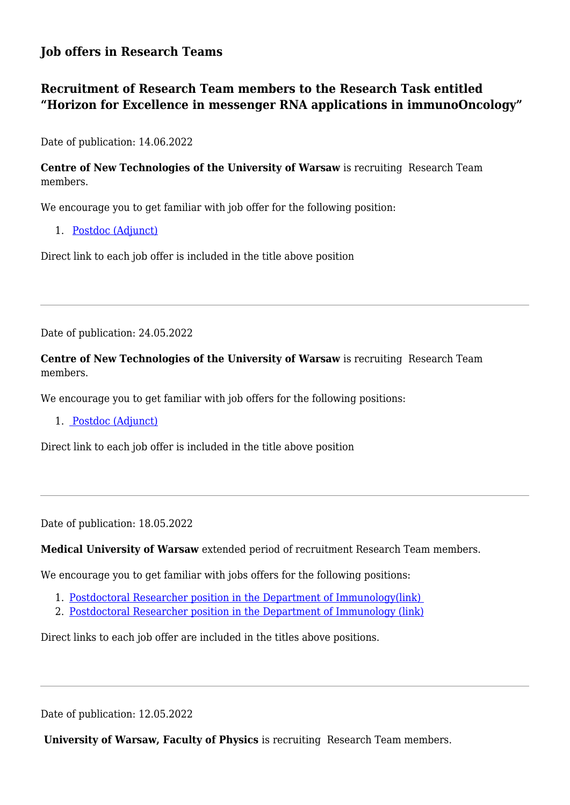# **Job offers in Research Teams**

# **Recruitment of Research Team members to the Research Task entitled "Horizon for Excellence in messenger RNA applications in immunoOncology"**

Date of publication: 14.06.2022

**Centre of New Technologies of the University of Warsaw** is recruiting Research Team members.

We encourage you to get familiar with job offer for the following position:

1. [Postdoc \(Adjunct\)](https://cent.uw.edu.pl/en/career/postdoc-adjunctcent-23-2022/)

Direct link to each job offer is included in the title above position

Date of publication: 24.05.2022

**Centre of New Technologies of the University of Warsaw** is recruiting Research Team members.

We encourage you to get familiar with job offers for the following positions:

1. [Postdoc \(Adjunct\)](https://cent.uw.edu.pl/en/career/postdoc-adjunctcent-20-2022/)

Direct link to each job offer is included in the title above position

Date of publication: 18.05.2022

**Medical University of Warsaw** extended period of recruitment Research Team members.

We encourage you to get familiar with jobs offers for the following positions:

- 1. [Postdoctoral Researcher position in the Department of Immunology\(link\)](https://bip.wum.edu.pl/oferta-pracy/256/2-postdoctoral-researcher-position-in-the-department-of-immunology)
- 2. [Postdoctoral Researcher position in the Department of Immunology \(link\)](https://bip.wum.edu.pl/oferta-pracy/272/3-postdoctoral-researcher-position-in-the-department-of-immunology)

Direct links to each job offer are included in the titles above positions.

Date of publication: 12.05.2022

 **University of Warsaw, Faculty of Physics** is recruiting Research Team members.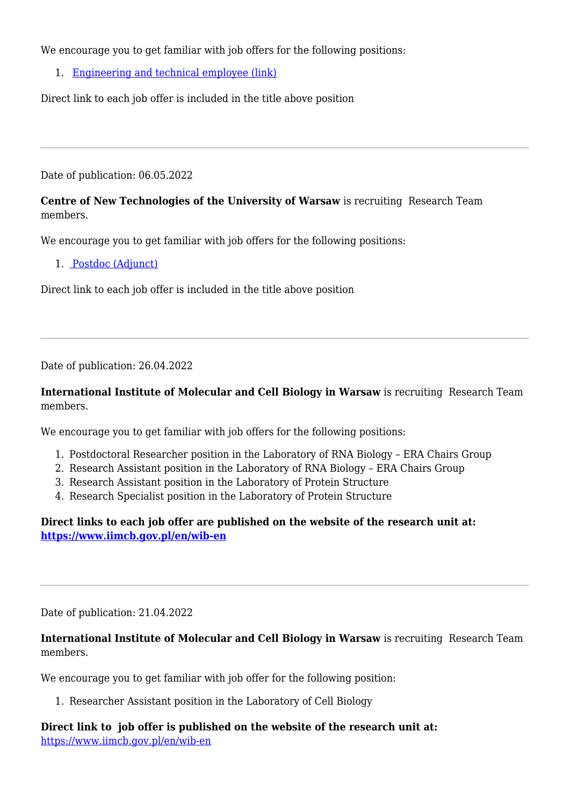We encourage you to get familiar with job offers for the following positions:

1. [Engineering and technical employee \(link\)](https://fuw.edu.pl/tl_files/praca/2022/2022-05-05_job_Engineering_and_technical_employee_IFD_FUW_to_30_May_2022.pdf)

Direct link to each job offer is included in the title above position

Date of publication: 06.05.2022

## **Centre of New Technologies of the University of Warsaw** is recruiting Research Team members.

We encourage you to get familiar with job offers for the following positions:

1. [Postdoc \(Adjunct\)](https://wib.port.org.pl/wp-content/uploads/2022/05/job-offer_CeNT-20-2022_WIB-postdoc.pdf)

Direct link to each job offer is included in the title above position

Date of publication: 26.04.2022

**International Institute of Molecular and Cell Biology in Warsaw** is recruiting Research Team members.

We encourage you to get familiar with job offers for the following positions:

- 1. Postdoctoral Researcher position in the Laboratory of RNA Biology ERA Chairs Group
- 2. Research Assistant position in the Laboratory of RNA Biology ERA Chairs Group
- 3. Research Assistant position in the Laboratory of Protein Structure
- 4. Research Specialist position in the Laboratory of Protein Structure

**Direct links to each job offer are published on the website of the research unit at: <https://www.iimcb.gov.pl/en/wib-en>**

Date of publication: 21.04.2022

**International Institute of Molecular and Cell Biology in Warsaw** is recruiting Research Team members.

We encourage you to get familiar with job offer for the following position:

1. Researcher Assistant position in the Laboratory of Cell Biology

**Direct link to job offer is published on the website of the research unit at:** <https://www.iimcb.gov.pl/en/wib-en>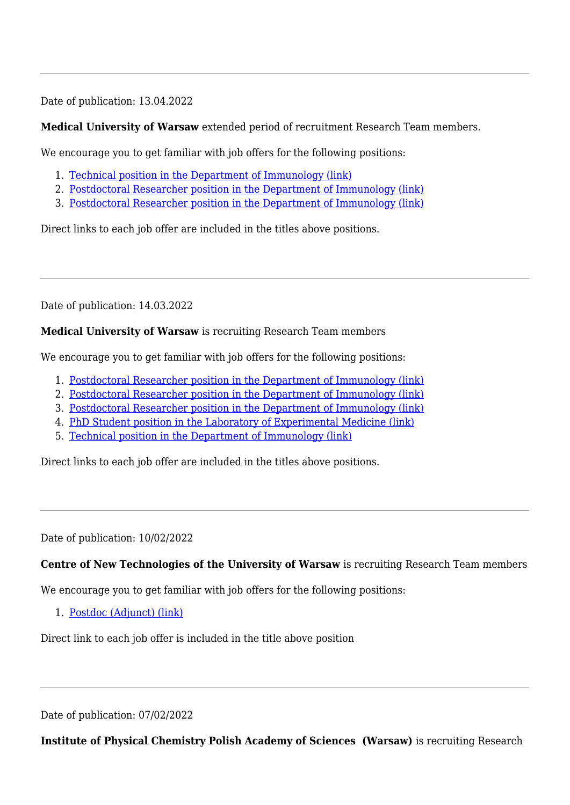Date of publication: 13.04.2022

## **Medical University of Warsaw** extended period of recruitment Research Team members.

We encourage you to get familiar with job offers for the following positions:

- 1. [Technical position in the Department of Immunology \(link\)](https://bip.wum.edu.pl/oferta-pracy/213/technical-position-in-the-department-of-immunology)
- 2. [Postdoctoral Researcher position in the Department of Immunology \(link\)](https://bip.wum.edu.pl/oferta-pracy/216/2-postdoctoral-researcher-position-in-the-department-of-immunology)
- 3. [Postdoctoral Researcher position in the Department of Immunology \(link\)](https://bip.wum.edu.pl/oferta-pracy/218/3-postdoctoral-researcher-position-in-the-department-of-immunology)

Direct links to each job offer are included in the titles above positions.

Date of publication: 14.03.2022

### **Medical University of Warsaw** is recruiting Research Team members

We encourage you to get familiar with job offers for the following positions:

- 1. [Postdoctoral Researcher position in the Department of Immunology \(link\)](https://www.wum.edu.pl/node/16920)
- 2. [Postdoctoral Researcher position in the Department of Immunology \(link\)](https://www.wum.edu.pl/node/16919)
- 3. [Postdoctoral Researcher position in the Department of Immunology \(link\)](https://www.wum.edu.pl/node/16918)
- 4. [P](https://www.wum.edu.pl/node/16773)[hD Student position in the Laboratory of Experimental Medicine \(link\)](https://www.wum.edu.pl/node/16917)
- 5. [Technical position in the Department of Immunology \(link\)](https://www.wum.edu.pl/node/16916)

Direct links to each job offer are included in the titles above positions.

Date of publication: 10/02/2022

## **Centre of New Technologies of the University of Warsaw** is recruiting Research Team members

We encourage you to get familiar with job offers for the following positions:

1. [Postdoc \(Adjunct\) \(link\)](https://konkursydlanauczycieli.uw.edu.pl/api/document/1407/datafile/pdf)

Direct link to each job offer is included in the title above position

Date of publication: 07/02/2022

**Institute of Physical Chemistry Polish Academy of Sciences (Warsaw)** is recruiting Research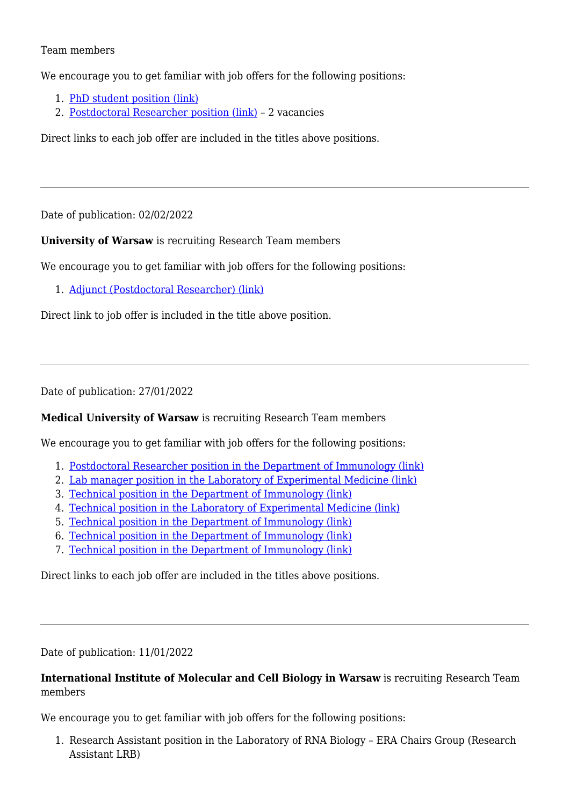#### Team members

We encourage you to get familiar with job offers for the following positions:

- 1. [PhD student position \(link\)](https://ichf.edu.pl/en/job/3-2022-horizon-for-excellence-in-messenger-rna-applications-in-immunooncology-virtual-research-institute-vib-no-wib-1-2020-o11-3)
- 2. [Postdoctoral Researcher position \(link\)](https://ichf.edu.pl/en/job/4-2022-horizon-for-excellence-in-messenger-rna-applications-in-immunooncology-virtual-research-institute-vib-no-wib-1-2020-o11-4)  2 vacancies

Direct links to each job offer are included in the titles above positions.

Date of publication: 02/02/2022

**University of Warsaw** is recruiting Research Team members

We encourage you to get familiar with job offers for the following positions:

1. [Adjunct \(Postdoctoral Researcher\) \(link\)](https://konkursydlanauczycieli.uw.edu.pl/api/document/1394/datafile/pdf)

Direct link to job offer is included in the title above position.

Date of publication: 27/01/2022

#### **Medical University of Warsaw** is recruiting Research Team members

We encourage you to get familiar with job offers for the following positions:

- 1. [Postdoctoral Researcher position in the Department of Immunology \(link\)](https://www.wum.edu.pl/node/16772)
- 2. [Lab manager position in the Laboratory of Experimental Medicine \(link\)](https://www.wum.edu.pl/node/16773)
- 3. [Technical position in the Department of Immunology \(link\)](https://www.wum.edu.pl/node/16771)
- 4. [Technical position in the Laboratory of Experimental Medicine \(link\)](https://www.wum.edu.pl/node/16767)
- 5. [Technical position in the Department of Immunology \(link\)](https://www.wum.edu.pl/node/16770)
- 6. [Technical position in the Department of Immunology \(link\)](https://www.wum.edu.pl/node/16769)
- 7. [Technical position in the Department of Immunology \(link\)](https://www.wum.edu.pl/node/16768)

Direct links to each job offer are included in the titles above positions.

Date of publication: 11/01/2022

### **International Institute of Molecular and Cell Biology in Warsaw** is recruiting Research Team members

We encourage you to get familiar with job offers for the following positions:

1. Research Assistant position in the Laboratory of RNA Biology – ERA Chairs Group (Research Assistant LRB)